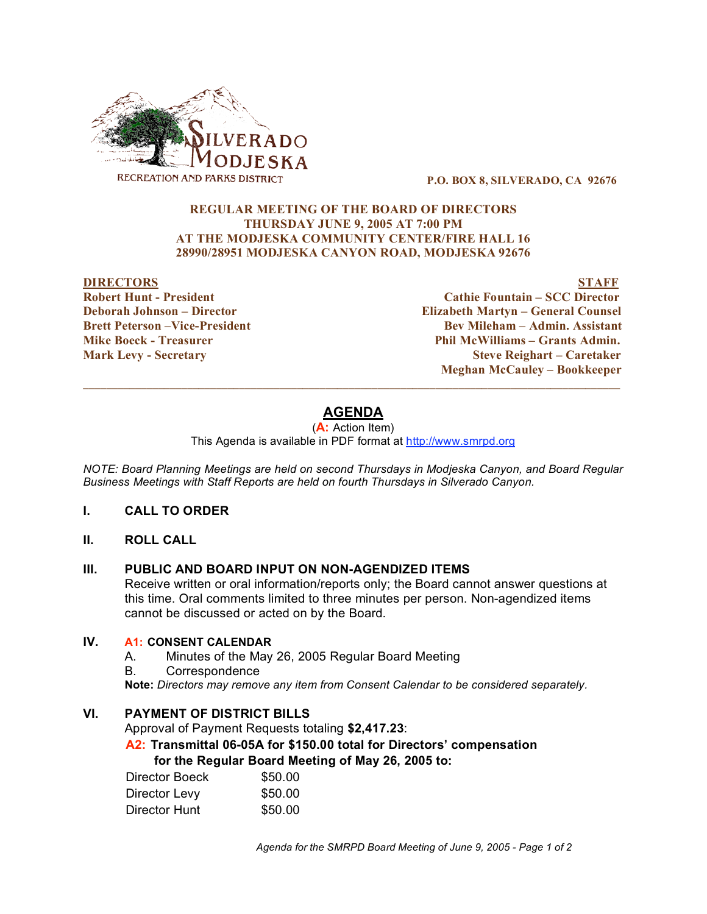

**P.O. BOX 8, SILVERADO, CA 92676**

### **REGULAR MEETING OF THE BOARD OF DIRECTORS THURSDAY JUNE 9, 2005 AT 7:00 PM AT THE MODJESKA COMMUNITY CENTER/FIRE HALL 16 28990/28951 MODJESKA CANYON ROAD, MODJESKA 92676**

#### **DIRECTORS STAFF**

**Robert Hunt - President Cathie Fountain – SCC Director Deborah Johnson – Director Elizabeth Martyn – General Counsel Brett Peterson –Vice-President Bev Mileham – Admin. Assistant Mike Boeck - Treasurer Phil McWilliams – Grants Admin. Mark Levy - Secretary Steve Reighart – Caretaker Meghan McCauley – Bookkeeper**

# **AGENDA**

 $\_$  ,  $\_$  ,  $\_$  ,  $\_$  ,  $\_$  ,  $\_$  ,  $\_$  ,  $\_$  ,  $\_$  ,  $\_$  ,  $\_$  ,  $\_$  ,  $\_$  ,  $\_$  ,  $\_$  ,  $\_$  ,  $\_$  ,  $\_$  ,  $\_$  ,  $\_$  ,  $\_$  ,  $\_$  ,  $\_$  ,  $\_$  ,  $\_$  ,  $\_$  ,  $\_$  ,  $\_$  ,  $\_$  ,  $\_$  ,  $\_$  ,  $\_$  ,  $\_$  ,  $\_$  ,  $\_$  ,  $\_$  ,  $\_$  ,

(**A:** Action Item)

This Agenda is available in PDF format at http://www.smrpd.org

*NOTE: Board Planning Meetings are held on second Thursdays in Modjeska Canyon, and Board Regular Business Meetings with Staff Reports are held on fourth Thursdays in Silverado Canyon.*

- **I. CALL TO ORDER**
- **II. ROLL CALL**

#### **III. PUBLIC AND BOARD INPUT ON NON-AGENDIZED ITEMS**

Receive written or oral information/reports only; the Board cannot answer questions at this time. Oral comments limited to three minutes per person. Non-agendized items cannot be discussed or acted on by the Board.

# **IV. A1: CONSENT CALENDAR**

- A. Minutes of the May 26, 2005 Regular Board Meeting
- B. Correspondence

**Note:** *Directors may remove any item from Consent Calendar to be considered separately.*

# **VI. PAYMENT OF DISTRICT BILLS**

Approval of Payment Requests totaling **\$2,417.23**:

# **A2: Transmittal 06-05A for \$150.00 total for Directors' compensation for the Regular Board Meeting of May 26, 2005 to:**

| Director Boeck | \$50.00 |
|----------------|---------|
| Director Levy  | \$50.00 |
| Director Hunt  | \$50.00 |